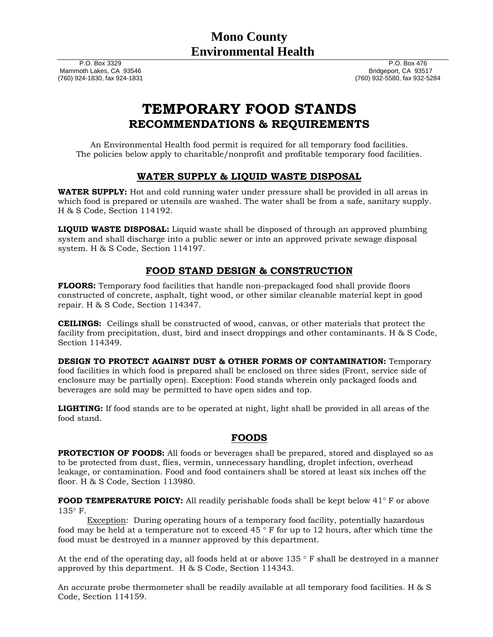P.O. Box 3329 Mammoth Lakes, CA 93546 (760) 924-1830, fax 924-1831 P.O. Box 476 Bridgeport, CA 93517 (760) 932-5580, fax 932-5284

# **TEMPORARY FOOD STANDS RECOMMENDATIONS & REQUIREMENTS**

An Environmental Health food permit is required for all temporary food facilities. The policies below apply to charitable/nonprofit and profitable temporary food facilities.

## **WATER SUPPLY & LIQUID WASTE DISPOSAL**

**WATER SUPPLY:** Hot and cold running water under pressure shall be provided in all areas in which food is prepared or utensils are washed. The water shall be from a safe, sanitary supply. H & S Code, Section 114192.

**LIQUID WASTE DISPOSAL:** Liquid waste shall be disposed of through an approved plumbing system and shall discharge into a public sewer or into an approved private sewage disposal system. H & S Code, Section 114197.

# **FOOD STAND DESIGN & CONSTRUCTION**

**FLOORS:** Temporary food facilities that handle non-prepackaged food shall provide floors constructed of concrete, asphalt, tight wood, or other similar cleanable material kept in good repair. H & S Code, Section 114347.

**CEILINGS:** Ceilings shall be constructed of wood, canvas, or other materials that protect the facility from precipitation, dust, bird and insect droppings and other contaminants. H & S Code, Section 114349.

**DESIGN TO PROTECT AGAINST DUST & OTHER FORMS OF CONTAMINATION:** Temporary food facilities in which food is prepared shall be enclosed on three sides (Front, service side of enclosure may be partially open). Exception: Food stands wherein only packaged foods and beverages are sold may be permitted to have open sides and top.

**LIGHTING:** If food stands are to be operated at night, light shall be provided in all areas of the food stand.

## **FOODS**

**PROTECTION OF FOODS:** All foods or beverages shall be prepared, stored and displayed so as to be protected from dust, flies, vermin, unnecessary handling, droplet infection, overhead leakage, or contamination. Food and food containers shall be stored at least six inches off the floor. H & S Code, Section 113980.

**FOOD TEMPERATURE POICY:** All readily perishable foods shall be kept below 41° F or above  $135^\circ$  F.

Exception: During operating hours of a temporary food facility, potentially hazardous food may be held at a temperature not to exceed  $45\degree$  F for up to 12 hours, after which time the food must be destroyed in a manner approved by this department.

At the end of the operating day, all foods held at or above  $135 \degree F$  shall be destroyed in a manner approved by this department. H & S Code, Section 114343.

An accurate probe thermometer shall be readily available at all temporary food facilities. H & S Code, Section 114159.